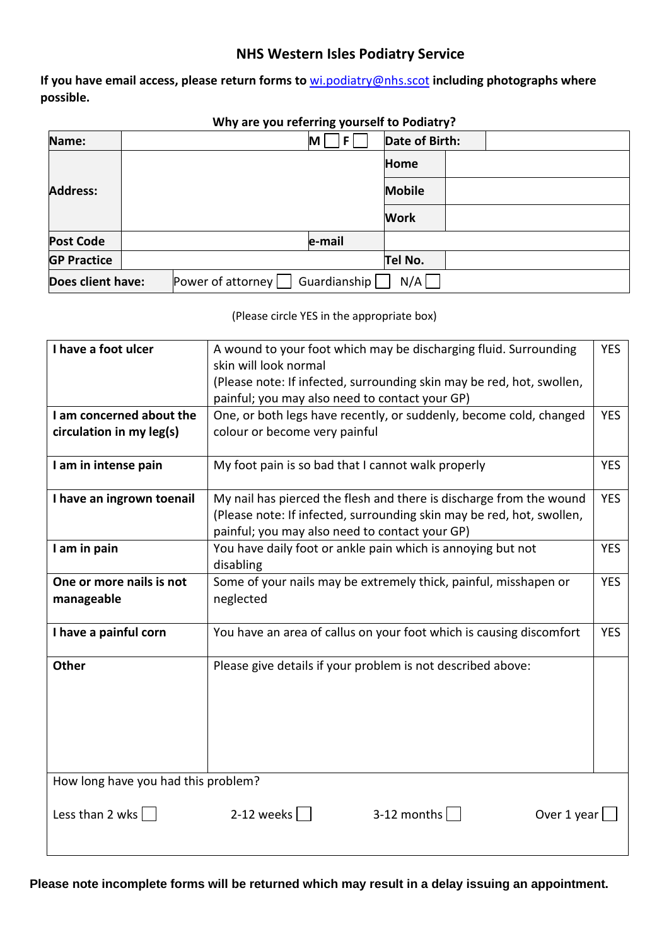## **NHS Western Isles Podiatry Service**

**If you have email access, please return forms to** [wi.podiatry@nhs.scot](mailto:wi.podiatry@nhs.scot) **including photographs where possible.** 

| F.<br>M                                   | Date of Birth: |
|-------------------------------------------|----------------|
|                                           | <b>Home</b>    |
|                                           | <b>Mobile</b>  |
|                                           | <b>Work</b>    |
| e-mail                                    |                |
|                                           | Tel No.        |
| Guardianship $\vert$<br>Power of attorney | N/A            |
|                                           |                |

## **Why are you referring yourself to Podiatry?**

(Please circle YES in the appropriate box)

| I have a foot ulcer                    | A wound to your foot which may be discharging fluid. Surrounding<br><b>YES</b><br>skin will look normal<br>(Please note: If infected, surrounding skin may be red, hot, swollen, |            |  |
|----------------------------------------|----------------------------------------------------------------------------------------------------------------------------------------------------------------------------------|------------|--|
|                                        | painful; you may also need to contact your GP)                                                                                                                                   |            |  |
| I am concerned about the               | One, or both legs have recently, or suddenly, become cold, changed                                                                                                               |            |  |
| circulation in my leg(s)               | colour or become very painful                                                                                                                                                    |            |  |
| I am in intense pain                   | My foot pain is so bad that I cannot walk properly<br><b>YES</b>                                                                                                                 |            |  |
| I have an ingrown toenail              | My nail has pierced the flesh and there is discharge from the wound                                                                                                              | <b>YES</b> |  |
|                                        | (Please note: If infected, surrounding skin may be red, hot, swollen,                                                                                                            |            |  |
|                                        | painful; you may also need to contact your GP)                                                                                                                                   |            |  |
| I am in pain                           | You have daily foot or ankle pain which is annoying but not<br><b>YES</b>                                                                                                        |            |  |
|                                        | disabling                                                                                                                                                                        |            |  |
| One or more nails is not<br>manageable | Some of your nails may be extremely thick, painful, misshapen or<br>neglected                                                                                                    | <b>YES</b> |  |
| I have a painful corn                  | You have an area of callus on your foot which is causing discomfort<br><b>YES</b>                                                                                                |            |  |
| <b>Other</b>                           | Please give details if your problem is not described above:                                                                                                                      |            |  |
| How long have you had this problem?    |                                                                                                                                                                                  |            |  |
|                                        |                                                                                                                                                                                  |            |  |
| Less than 2 wks $  \cdot  $            | 2-12 weeks $\vert$ $\vert$<br>$3-12$ months $ $<br>Over 1 year                                                                                                                   |            |  |
|                                        |                                                                                                                                                                                  |            |  |

**Please note incomplete forms will be returned which may result in a delay issuing an appointment.**